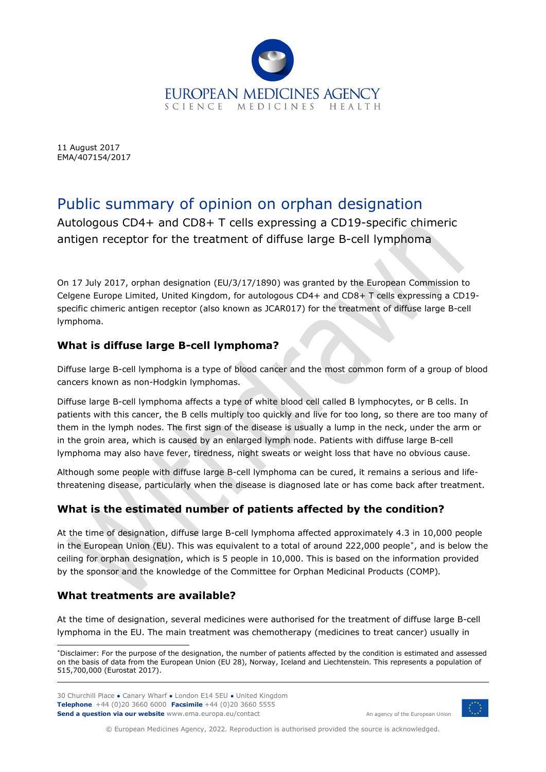

11 August 2017 EMA/407154/2017

# Public summary of opinion on orphan designation

Autologous CD4+ and CD8+ T cells expressing a CD19-specific chimeric antigen receptor for the treatment of diffuse large B-cell lymphoma

On 17 July 2017, orphan designation (EU/3/17/1890) was granted by the European Commission to Celgene Europe Limited, United Kingdom, for autologous CD4+ and CD8+ T cells expressing a CD19 specific chimeric antigen receptor (also known as JCAR017) for the treatment of diffuse large B-cell lymphoma.

## **What is diffuse large B-cell lymphoma?**

Diffuse large B-cell lymphoma is a type of blood cancer and the most common form of a group of blood cancers known as non-Hodgkin lymphomas.

Diffuse large B-cell lymphoma affects a type of white blood cell called B lymphocytes, or B cells. In patients with this cancer, the B cells multiply too quickly and live for too long, so there are too many of them in the lymph nodes. The first sign of the disease is usually a lump in the neck, under the arm or in the groin area, which is caused by an enlarged lymph node. Patients with diffuse large B-cell lymphoma may also have fever, tiredness, night sweats or weight loss that have no obvious cause.

Although some people with diffuse large B-cell lymphoma can be cured, it remains a serious and lifethreatening disease, particularly when the disease is diagnosed late or has come back after treatment.

## **What is the estimated number of patients affected by the condition?**

At the time of designation, diffuse large B-cell lymphoma affected approximately 4.3 in 10,000 people in the European Union (EU). This was equivalent to a total of around 222,000 people[\\*,](#page-0-0) and is below the ceiling for orphan designation, which is 5 people in 10,000. This is based on the information provided by the sponsor and the knowledge of the Committee for Orphan Medicinal Products (COMP)*.*

#### **What treatments are available?**

At the time of designation, several medicines were authorised for the treatment of diffuse large B-cell lymphoma in the EU. The main treatment was chemotherapy (medicines to treat cancer) usually in

30 Churchill Place **●** Canary Wharf **●** London E14 5EU **●** United Kingdom **Telephone** +44 (0)20 3660 6000 **Facsimile** +44 (0)20 3660 5555 **Send a question via our website** www.ema.europa.eu/contact



An agency of the European Union

© European Medicines Agency, 2022. Reproduction is authorised provided the source is acknowledged.

<span id="page-0-0"></span><sup>\*</sup>Disclaimer: For the purpose of the designation, the number of patients affected by the condition is estimated and assessed on the basis of data from the European Union (EU 28), Norway, Iceland and Liechtenstein. This represents a population of 515,700,000 (Eurostat 2017).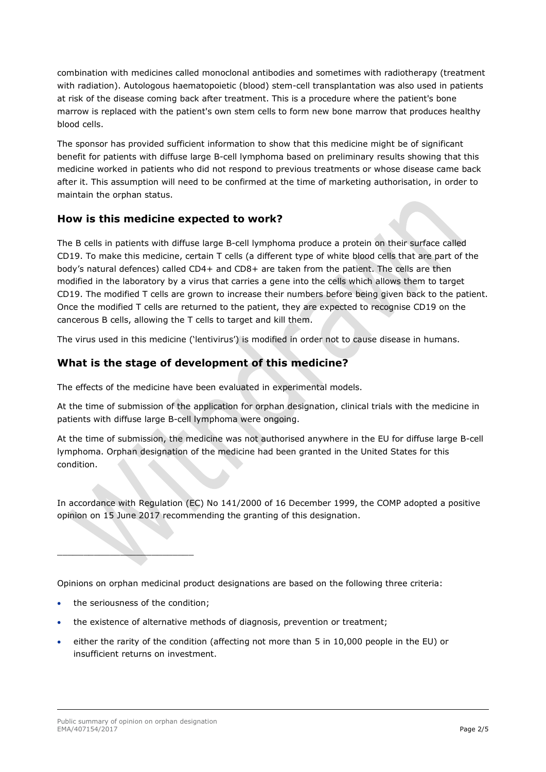combination with medicines called monoclonal antibodies and sometimes with radiotherapy (treatment with radiation). Autologous haematopoietic (blood) stem-cell transplantation was also used in patients at risk of the disease coming back after treatment. This is a procedure where the patient's bone marrow is replaced with the patient's own stem cells to form new bone marrow that produces healthy blood cells.

The sponsor has provided sufficient information to show that this medicine might be of significant benefit for patients with diffuse large B-cell lymphoma based on preliminary results showing that this medicine worked in patients who did not respond to previous treatments or whose disease came back after it. This assumption will need to be confirmed at the time of marketing authorisation, in order to maintain the orphan status.

#### **How is this medicine expected to work?**

The B cells in patients with diffuse large B-cell lymphoma produce a protein on their surface called CD19. To make this medicine, certain T cells (a different type of white blood cells that are part of the body's natural defences) called CD4+ and CD8+ are taken from the patient. The cells are then modified in the laboratory by a virus that carries a gene into the cells which allows them to target CD19. The modified T cells are grown to increase their numbers before being given back to the patient. Once the modified T cells are returned to the patient, they are expected to recognise CD19 on the cancerous B cells, allowing the T cells to target and kill them.

The virus used in this medicine ('lentivirus') is modified in order not to cause disease in humans.

## **What is the stage of development of this medicine?**

The effects of the medicine have been evaluated in experimental models.

At the time of submission of the application for orphan designation, clinical trials with the medicine in patients with diffuse large B-cell lymphoma were ongoing.

At the time of submission, the medicine was not authorised anywhere in the EU for diffuse large B-cell lymphoma. Orphan designation of the medicine had been granted in the United States for this condition.

In accordance with Regulation (EC) No 141/2000 of 16 December 1999, the COMP adopted a positive opinion on 15 June 2017 recommending the granting of this designation.

Opinions on orphan medicinal product designations are based on the following three criteria:

the seriousness of the condition:

 $\_$ 

- the existence of alternative methods of diagnosis, prevention or treatment;
- either the rarity of the condition (affecting not more than 5 in 10,000 people in the EU) or insufficient returns on investment.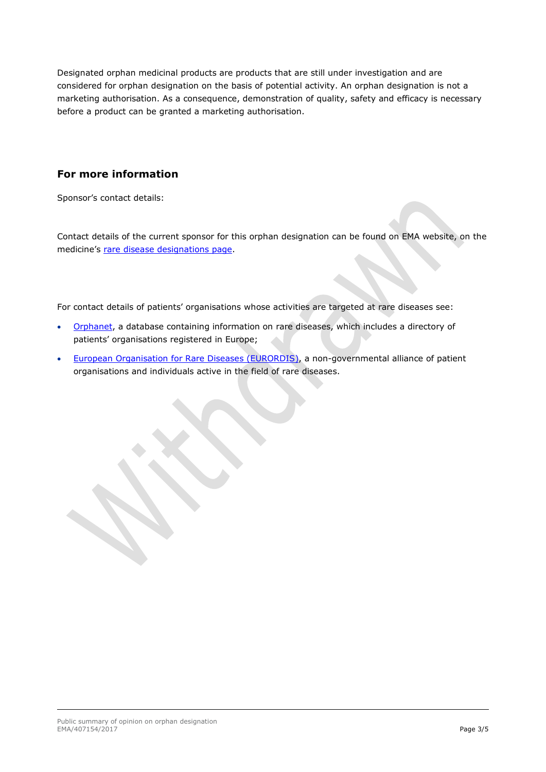Designated orphan medicinal products are products that are still under investigation and are considered for orphan designation on the basis of potential activity. An orphan designation is not a marketing authorisation. As a consequence, demonstration of quality, safety and efficacy is necessary before a product can be granted a marketing authorisation.

#### **For more information**

Sponsor's contact details:

Contact details of the current sponsor for this orphan designation can be found on EMA website, on the medicine's [rare disease designations page.](http://www.ema.europa.eu/ema/index.jsp?curl=pages/medicines/landing/orphan_search.jsp&mid=WC0b01ac058001d12b)

For contact details of patients' organisations whose activities are targeted at rare diseases see:

- [Orphanet,](http://www.orpha.net/consor/cgi-bin/index.php) a database containing information on rare diseases, which includes a directory of patients' organisations registered in Europe;
- [European Organisation for Rare Diseases \(EURORDIS\),](http://www.eurordis.org/content/rare-disease-patient-organisations) a non-governmental alliance of patient organisations and individuals active in the field of rare diseases.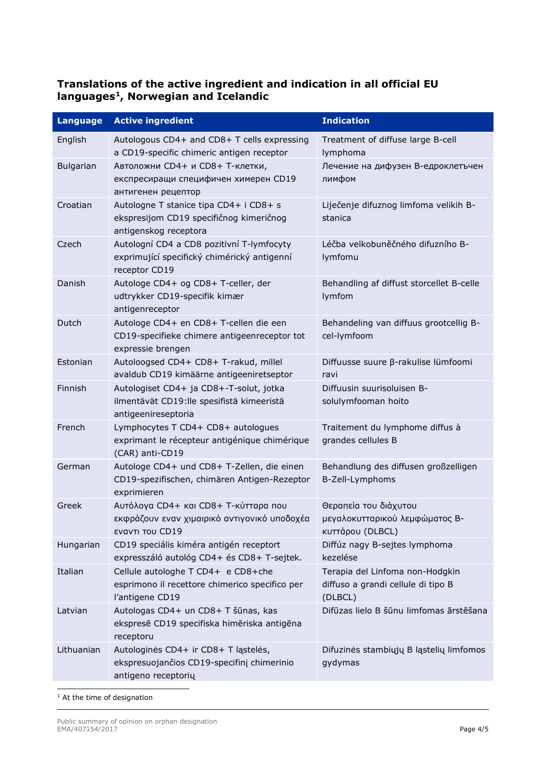## **Translations of the active ingredient and indication in all official EU languages[1](#page-3-0), Norwegian and Icelandic**

| <b>Language</b>  | <b>Active ingredient</b>                                                                                    | <b>Indication</b>                                                                |
|------------------|-------------------------------------------------------------------------------------------------------------|----------------------------------------------------------------------------------|
| English          | Autologous CD4+ and CD8+ T cells expressing<br>a CD19-specific chimeric antigen receptor                    | Treatment of diffuse large B-cell<br>lymphoma                                    |
| <b>Bulgarian</b> | Автоложни CD4+ и CD8+ Т-клетки,<br>експресиращи специфичен химерен CD19<br>антигенен рецептор               | Лечение на дифузен В-едроклетъчен<br>лимфом                                      |
| Croatian         | Autologne T stanice tipa CD4+ i CD8+ s<br>ekspresijom CD19 specifičnog kimeričnog<br>antigenskog receptora  | Liječenje difuznog limfoma velikih B-<br>stanica                                 |
| Czech            | Autologní CD4 a CD8 pozitivní T-lymfocyty<br>exprimující specifický chimérický antigenní<br>receptor CD19   | Léčba velkobuněčného difuzního B-<br>lymfomu                                     |
| Danish           | Autologe CD4+ og CD8+ T-celler, der<br>udtrykker CD19-specifik kimær<br>antigenreceptor                     | Behandling af diffust storcellet B-celle<br>lymfom                               |
| Dutch            | Autologe CD4+ en CD8+ T-cellen die een<br>CD19-specifieke chimere antigeenreceptor tot<br>expressie brengen | Behandeling van diffuus grootcellig B-<br>cel-lymfoom                            |
| Estonian         | Autoloogsed CD4+ CD8+ T-rakud, millel<br>avaldub CD19 kimäärne antigeeniretseptor                           | Diffuusse suure β-rakulise lümfoomi<br>ravi                                      |
| Finnish          | Autologiset CD4+ ja CD8+-T-solut, jotka<br>ilmentävät CD19:lle spesifistä kimeeristä<br>antigeenireseptoria | Diffuusin suurisoluisen B-<br>solulymfooman hoito                                |
| French           | Lymphocytes T CD4+ CD8+ autologues<br>exprimant le récepteur antigénique chimérique<br>(CAR) anti-CD19      | Traitement du lymphome diffus à<br>grandes cellules B                            |
| German           | Autologe CD4+ und CD8+ T-Zellen, die einen<br>CD19-spezifischen, chimären Antigen-Rezeptor<br>exprimieren   | Behandlung des diffusen großzelligen<br>B-Zell-Lymphoms                          |
| Greek            | Αυτόλογα CD4+ και CD8+ Τ-κύτταρα που<br>εκφράζουν εναν χιμαιρικό αντιγονικό υποδοχέα<br>εναντι του CD19     | Θεραπεία του διάχυτου<br>μεγαλοκυτταρικού λεμφώματος Β-<br>κυττάρου (DLBCL)      |
| Hungarian        | CD19 speciális kiméra antigén receptort<br>expresszáló autológ CD4+ és CD8+ T-sejtek.                       | Diffúz nagy B-sejtes lymphoma<br>kezelése                                        |
| Italian          | Cellule autologhe T CD4+ e CD8+che<br>esprimono il recettore chimerico specifico per<br>l'antigene CD19     | Terapia del Linfoma non-Hodgkin<br>diffuso a grandi cellule di tipo B<br>(DLBCL) |
| Latvian          | Autologas CD4+ un CD8+ T šūnas, kas<br>ekspresē CD19 specifiska himēriska antigēna<br>receptoru             | Difūzas lielo B šūnu limfomas ārstēšana                                          |
| Lithuanian       | Autologinės CD4+ ir CD8+ T ląstelės,<br>ekspresuojančios CD19-specifinį chimerinio<br>antigeno receptorių   | Difuzinės stambiųjų B ląstelių limfomos<br>gydymas                               |

<span id="page-3-0"></span><sup>1</sup> At the time of designation